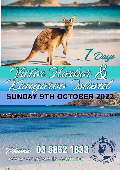

# Phone 03 5362 1833

www.cardwells.com.au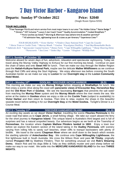## 7 Day Victor Harbor - Kangaroo Island

### **Departs: Sunday 9th October 2022 Price: \$2040**

(Single Room Option \$350)

#### **TOUR INCLUDES:**

\*Free Passenger Pick & and return service from most major towns in our area \* No Hidden Extras \* Name Badge \* \* Dinners \* GST Inclusive \* Luxury 5 star Coach Travel \* Quality Accommodation \* Cooked Breakfasts \* \* Picnic lunches (as listed) \* Morning & Afternoon teas (where time & weather permits)\* \* All admission fees, sightseeing tours & cruises as per itinerary \* Experience Crew \*

*TOUR HIGHLIGHTS: \* Victor Harbor \* Flinders Chase National Park \* Cape Du Couedic \* Horse Tram or Cockle Train \* Murray Mouth \* Goolwa \*Eucalyptus Distillery \* Seal Bay/Remarkable Rocks \* Admirals Arch \* Spectacular Coastal Scenery \* Honey Farm \* Cape Willoughby Lighthouse \* Sheep Shearing Demo \*Naracoorte \* Sea Lions \* Stokes Bay \* Loxton \* Kingston \*Wildlife Park*

**DAY 1- Sunday 9th October '22 Loxton (D)**

Welcome aboard for seven days of fun, adventure, relaxation and spectacular sightseeing. Today we travel along the Murray Valley Highway to Echuca for our first morning tea break. Continue on past the chain of lakes and onto **Swan Hill** for lunch. Then we make our way through the Mallee Region past the **Hattah-Kulkyne National Park,** maybe see the delicate **Mallee Wildflowers** as we continue through Red Cliffs and along the Sturt Highway. We enjoy afternoon tea before crossing the South Australian border as we make our way to **Loxton** for our **Overnight stay** at the **Loxton Community Hotel Motel.**

**DAY 2 – Monday 10th**

 **GOOLWA - DISCOVER VICTOR HARBOR (B,D)**

This morning we make our way via **Murray Bridge** before stopping at **Strathalbyn** for lunch. We then enjoy a scenic drive along the coast with **panoramic views of Encounter Bay, Horseshoe Bay** and the **Old River Port** of **Goolwa**. We see the fascinating **Barrages** that prevents the salt water from reaching the **Murray River** system and the **Murray Mouth** where the river meets the sea. We arrive at the station in **Goolwa** where we enjoy a ride on the **Cockle Train** (subject to availability) to **Victor Harbor** and then return to Goolwa. Then time to relax, explore the shops in this beautiful seaside resort before settling in for our **Overnight Stay** at the **Motel Goolwa.** Tonight's Dinner is a 2 Course Meal.

#### **DAY 3 – Tuesday 11th**

#### **DISCOVER KANGAROO ISLAND (B,L,D)**

An exciting day awaits as we depart **Victor Harbor**, travelling the scenic **Fleurieu Peninsula** to the coast road that takes us to **Cape Jervis**, a small fishing village. We take our coach aboard the ferry for the short journey to **Kangaroo Island**. This unique Island is Australia's third largest and is full of surprises and has a natural unspoiled beauty. Our adventure begins as we berth at the Township of **Penneshaw**, the location where **Captain Mathew Flinders landed in 1802**. Enjoy a town tour before we explore the Eastern section of the island taking in the **Dudley Peninsula**, with scenery varying from rolling hills to sandy surf beaches, sheer cliffs to tranquil backwaters with plenty of birdlife. We travel to the scenic **Chapman River** where we stroll down to the beach which reveals the startling splendor of **Antechamber Bay**. We continue onto **Cape Willoughby Lighthouse**, the first lighthouse built in South Australia. We cross the Wilson River and pass **Mt Thisby**, originally named **Prospect Hill** by Matthew Flinders. Then for something unusual we visit **Rob's Shearing Demo.** Watch Rob and his dogs Billie & Toby as they skillfully muster and yard sheep before we make our way to our motel. We settle into the **MERCURE KANGAROO ISLAND** for the next **THREE NIGHTS.**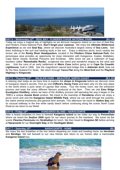

**DAY 4 – Wednesday 12th SEAL BAY - FLINDERS CHASE NATIONAL PARK (B,L,D)**

Today we enjoy a magical day of highlights as we discover Kangaroo Island on our tour of Seal Bay and Flinders Chase National Park**. Don't forget your cameras**. We enjoy the **Ultimate Wilderness Experience** as we visit **Seal Bay**, where we discover Australia's largest colony of **Sea Lions**. See them frolicking in the surf and basking lazily in the sun. Enjoy a delicious picnic lunch nearby the former site of the **Rocky River Headquarters**, located in the **Flinders Chase National Park**, this picturesque area provides an opportunity for close interaction with Kangaroos, Koalas, Wallabies, Cape Baron Geese, Bushtail Possums and Echidnas. After lunch we see a collection of huge boulders called **'Remarkable Rocks'**, sculptured into weird and wonderful shapes by the wind and sea. Visit the ruins of an early settlement at **Weirs Cove** before going on to **Cape Du Couedic Lighthouse**, built in 1906. See the magnificent natural land bridge that is **Admirals Arch**, look out for the New Zealand Fur Seals. We return through **Yacca Flat** along the **West End** and the **Playford Highway** to **Kingscote.**

**DAY 5 – Thursday 13th WILDLIFE PARK – BEAUTIFUL NORTH COAST (B,L,D)**

A relaxing start today as we have time to explore the **shops in Kingscote** before we discover more of Kangaroo Island's secrets. First we visit **Clifford's Honey Farm** and learn why it's the only place in the world where a pure strain of Ligurian Bee exists. Tour the honey room, see the extraction process and taste the many different flavours produced at the farm. Then we visit **Emu Ridge Eucalyptus Distillery**, where we learn of the distillery process still operating the way it began in the 1890's a unique **Aussie Bush** product. We travel to the township of **Parndarna** where we enjoy a picnic lunch and visit the **Kangaroo Island Wildlife Park**, where we can stroll through the aviaries, the native animal enclosures and general farm animals. This afternoon we travel to **Stokes Bay** with its unusual walkway to the fine white sandy beach before continuing along the scenic North Coast Road as we return to our Motel.

#### **DAY 6 – Friday 14th KANGAROO ISLAND – NARACOORTE (B,D)**

After a hearty breakfast it's time to farewell **Kangaroo Island** as we make our way to **Penneshaw** where we board the **Sealion 2000** again for our return journey to the mainland. We travel via the scenic **Fleurieu Peninsula** into **Strathalbyn** for lunch. We then travel to **Kingston SE** before arriving at **Naracoorte** for our **Overnight Stay** at the **Southgate Motel.**

#### **DAY 7 – Saturday 15th**

#### **NARACOORTE - HOME (B)**

We enjoy the last breakfast of the tour before departing our motel and heading home via **Horsham**  and **Bendigo**. We bid farewell to our new friends and return to our homes after a memorable **Kangaroo Island** tour.